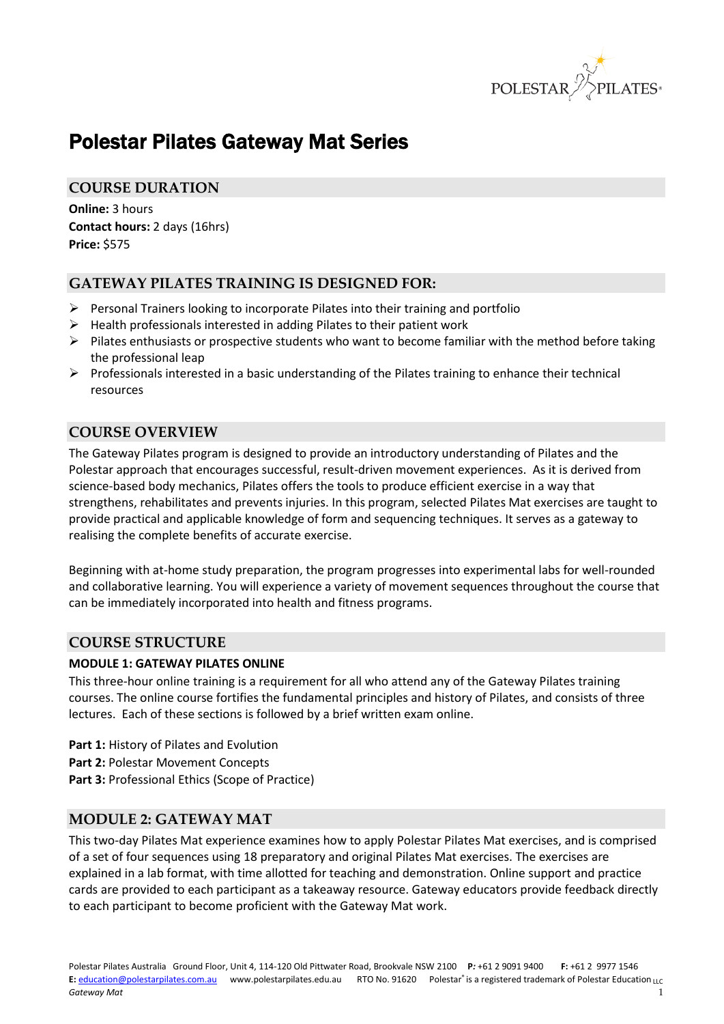

# Polestar Pilates Gateway Mat Series

## **COURSE DURATION**

**Online:** 3 hours **Contact hours:** 2 days (16hrs) **Price:** \$575

## **GATEWAY PILATES TRAINING IS DESIGNED FOR:**

- $\triangleright$  Personal Trainers looking to incorporate Pilates into their training and portfolio
- $\triangleright$  Health professionals interested in adding Pilates to their patient work
- $\triangleright$  Pilates enthusiasts or prospective students who want to become familiar with the method before taking the professional leap
- $\triangleright$  Professionals interested in a basic understanding of the Pilates training to enhance their technical resources

## **COURSE OVERVIEW**

The Gateway Pilates program is designed to provide an introductory understanding of Pilates and the Polestar approach that encourages successful, result-driven movement experiences. As it is derived from science-based body mechanics, Pilates offers the tools to produce efficient exercise in a way that strengthens, rehabilitates and prevents injuries. In this program, selected Pilates Mat exercises are taught to provide practical and applicable knowledge of form and sequencing techniques. It serves as a gateway to realising the complete benefits of accurate exercise.

Beginning with at-home study preparation, the program progresses into experimental labs for well-rounded and collaborative learning. You will experience a variety of movement sequences throughout the course that can be immediately incorporated into health and fitness programs.

#### **COURSE STRUCTURE**

#### **MODULE 1: GATEWAY PILATES ONLINE**

This three-hour online training is a requirement for all who attend any of the Gateway Pilates training courses. The online course fortifies the fundamental principles and history of Pilates, and consists of three lectures. Each of these sections is followed by a brief written exam online.

- **Part 1:** History of Pilates and Evolution
- **Part 2:** Polestar Movement Concepts
- **Part 3:** Professional Ethics (Scope of Practice)

#### **MODULE 2: GATEWAY MAT**

This two-day Pilates Mat experience examines how to apply Polestar Pilates Mat exercises, and is comprised of a set of four sequences using 18 preparatory and original Pilates Mat exercises. The exercises are explained in a lab format, with time allotted for teaching and demonstration. Online support and practice cards are provided to each participant as a takeaway resource. Gateway educators provide feedback directly to each participant to become proficient with the Gateway Mat work.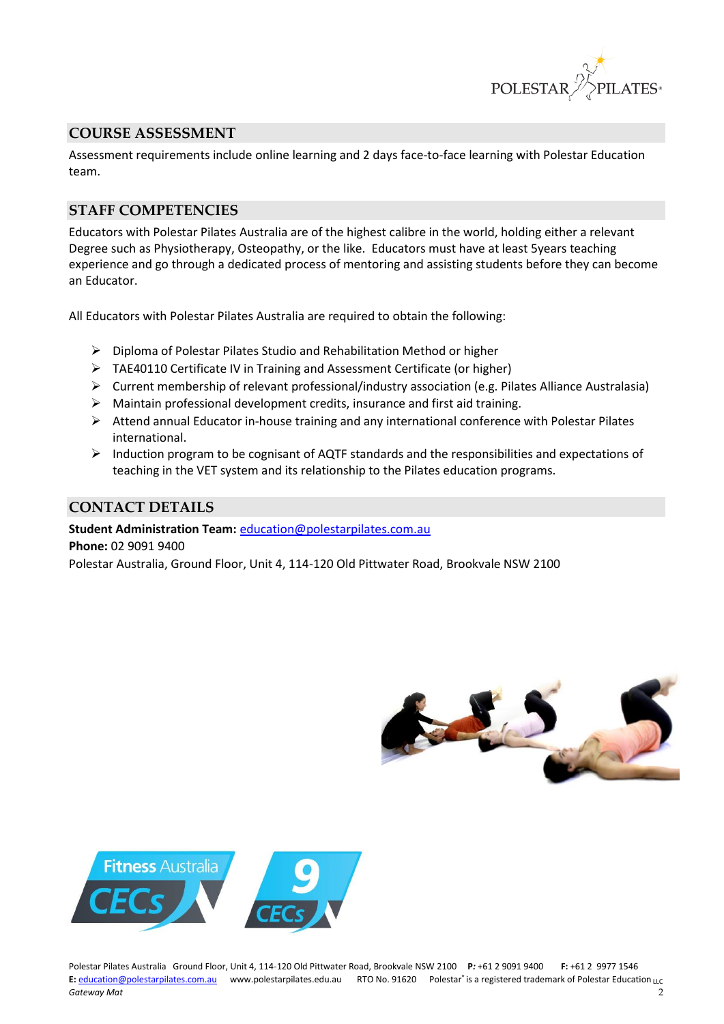

## **COURSE ASSESSMENT**

Assessment requirements include online learning and 2 days face-to-face learning with Polestar Education team.

## **STAFF COMPETENCIES**

Educators with Polestar Pilates Australia are of the highest calibre in the world, holding either a relevant Degree such as Physiotherapy, Osteopathy, or the like. Educators must have at least 5years teaching experience and go through a dedicated process of mentoring and assisting students before they can become an Educator.

All Educators with Polestar Pilates Australia are required to obtain the following:

- $\triangleright$  Diploma of Polestar Pilates Studio and Rehabilitation Method or higher
- TAE40110 Certificate IV in Training and Assessment Certificate (or higher)
- $\triangleright$  Current membership of relevant professional/industry association (e.g. Pilates Alliance Australasia)
- $\triangleright$  Maintain professional development credits, insurance and first aid training.
- $\triangleright$  Attend annual Educator in-house training and any international conference with Polestar Pilates international.
- $\triangleright$  Induction program to be cognisant of AQTF standards and the responsibilities and expectations of teaching in the VET system and its relationship to the Pilates education programs.

## **CONTACT DETAILS**

#### **Student Administration Team:** [education@polestarpilates.com.au](mailto:education@polestarpilates.com.au)

**Phone:** 02 9091 9400

Polestar Australia, Ground Floor, Unit 4, 114-120 Old Pittwater Road, Brookvale NSW 2100





Polestar Pilates Australia Ground Floor, Unit 4, 114-120 Old Pittwater Road, Brookvale NSW 2100 **P***:* +61 2 9091 9400 **F:** +61 2 9977 1546 E: [education@polestarpilates.com.au](mailto:education@polestarpilates.com.au) www.polestarpilates.edu.au RTO No. 91620 Polestar® is a registered trademark of Polestar Education LLC *Gateway Mat* 2